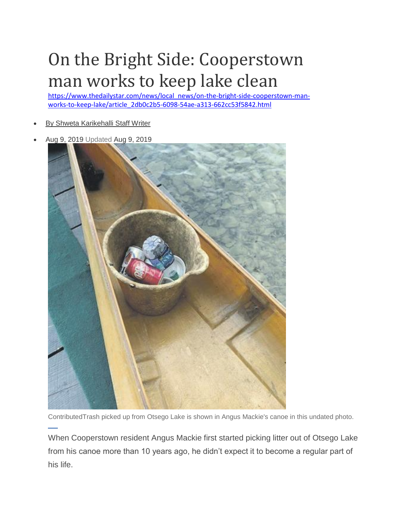## On the Bright Side: Cooperstown man works to keep lake clean

[https://www.thedailystar.com/news/local\\_news/on-the-bright-side-cooperstown-man](https://www.thedailystar.com/news/local_news/on-the-bright-side-cooperstown-man-works-to-keep-lake/article_2db0c2b5-6098-54ae-a313-662cc53f5842.html)[works-to-keep-lake/article\\_2db0c2b5-6098-54ae-a313-662cc53f5842.html](https://www.thedailystar.com/news/local_news/on-the-bright-side-cooperstown-man-works-to-keep-lake/article_2db0c2b5-6098-54ae-a313-662cc53f5842.html)

- [By Shweta Karikehalli Staff Writer](https://www.thedailystar.com/users/profile/Shweta%20Karikehalli)
- Aug 9, 2019 Updated Aug 9, 2019



ContributedTrash picked up from Otsego Lake is shown in Angus Mackie's canoe in this undated photo.

When Cooperstown resident Angus Mackie first started picking litter out of Otsego Lake from his canoe more than 10 years ago, he didn't expect it to become a regular part of his life.